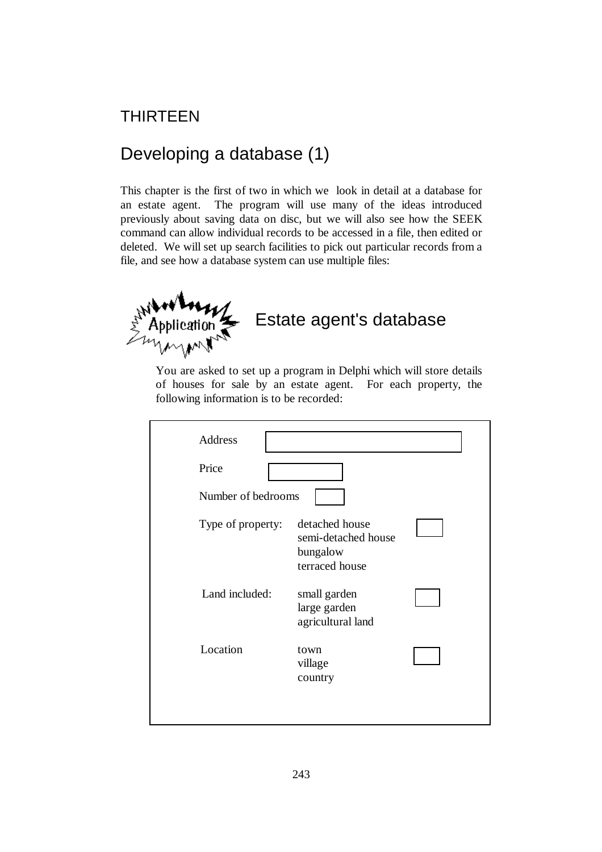# THIRTEEN

# Developing a database (1)

This chapter is the first of two in which we look in detail at a database for an estate agent. The program will use many of the ideas introduced previously about saving data on disc, but we will also see how the SEEK command can allow individual records to be accessed in a file, then edited or deleted. We will set up search facilities to pick out particular records from a file, and see how a database system can use multiple files:



You are asked to set up a program in Delphi which will store details of houses for sale by an estate agent. For each property, the following information is to be recorded:

| <b>Address</b>     |                                                                     |  |
|--------------------|---------------------------------------------------------------------|--|
| Price              |                                                                     |  |
| Number of bedrooms |                                                                     |  |
| Type of property:  | detached house<br>semi-detached house<br>bungalow<br>terraced house |  |
| Land included:     | small garden<br>large garden<br>agricultural land                   |  |
| Location           | town<br>village<br>country                                          |  |
|                    |                                                                     |  |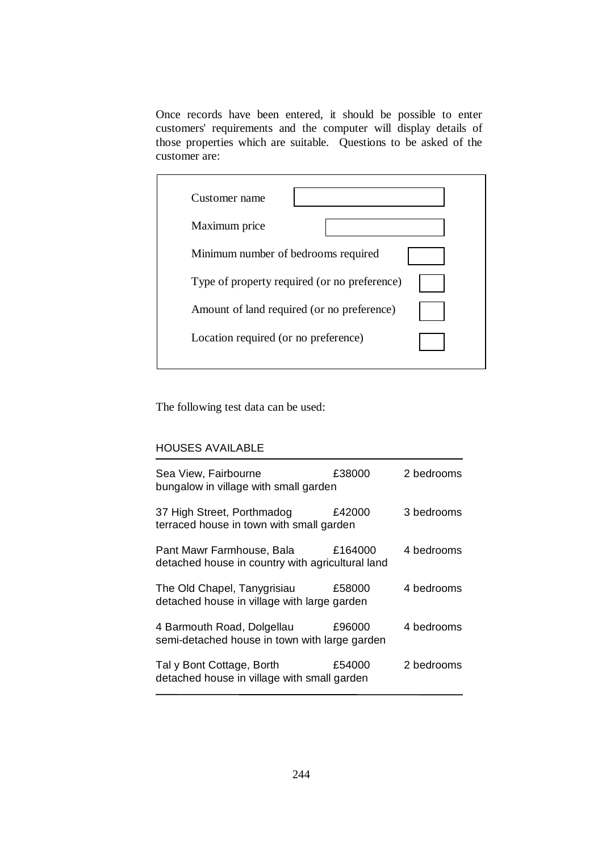Once records have been entered, it should be possible to enter customers' requirements and the computer will display details of those properties which are suitable. Questions to be asked of the customer are:

| Customer name                                |  |
|----------------------------------------------|--|
| Maximum price                                |  |
| Minimum number of bedrooms required          |  |
| Type of property required (or no preference) |  |
| Amount of land required (or no preference)   |  |
| Location required (or no preference)         |  |
|                                              |  |

The following test data can be used:

## HOUSES AVAILABLE

| £38000  | 2 bedrooms                                                                                                                                                                                                                                                                           |
|---------|--------------------------------------------------------------------------------------------------------------------------------------------------------------------------------------------------------------------------------------------------------------------------------------|
| £42000  | 3 bedrooms                                                                                                                                                                                                                                                                           |
| £164000 | 4 bedrooms                                                                                                                                                                                                                                                                           |
| £58000  | 4 bedrooms                                                                                                                                                                                                                                                                           |
| £96000  | 4 bedrooms                                                                                                                                                                                                                                                                           |
| £54000  | 2 bedrooms                                                                                                                                                                                                                                                                           |
|         | bungalow in village with small garden<br>terraced house in town with small garden<br>detached house in country with agricultural land<br>detached house in village with large garden<br>semi-detached house in town with large garden<br>detached house in village with small garden |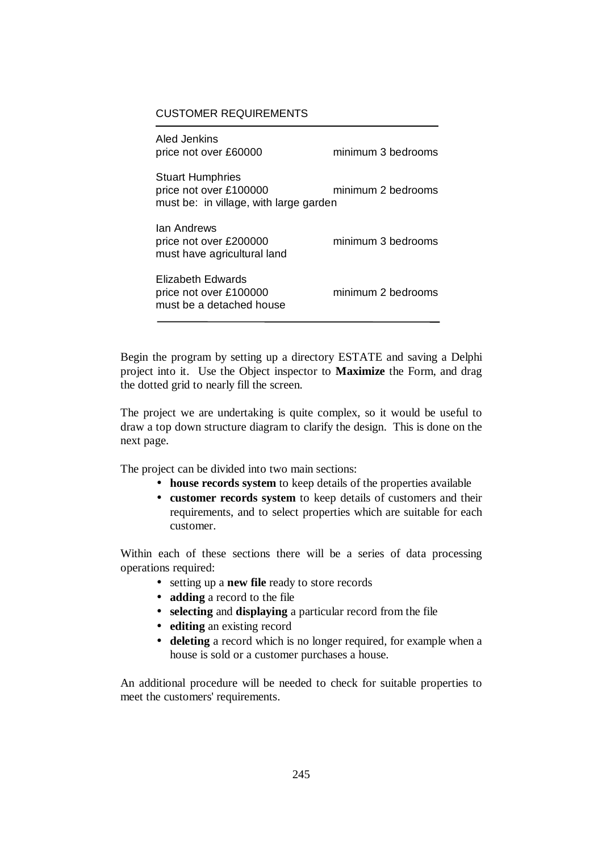#### CUSTOMER REQUIREMENTS

| Aled Jenkins<br>price not over £60000                                                       | minimum 3 bedrooms |
|---------------------------------------------------------------------------------------------|--------------------|
| <b>Stuart Humphries</b><br>price not over £100000<br>must be: in village, with large garden | minimum 2 bedrooms |
| lan Andrews<br>price not over £200000<br>must have agricultural land                        | minimum 3 bedrooms |
| Elizabeth Edwards<br>price not over £100000<br>must be a detached house                     | minimum 2 bedrooms |

Begin the program by setting up a directory ESTATE and saving a Delphi project into it. Use the Object inspector to **Maximize** the Form, and drag the dotted grid to nearly fill the screen.

The project we are undertaking is quite complex, so it would be useful to draw a top down structure diagram to clarify the design. This is done on the next page.

The project can be divided into two main sections:

- **house records system** to keep details of the properties available
- **customer records system** to keep details of customers and their requirements, and to select properties which are suitable for each customer.

Within each of these sections there will be a series of data processing operations required:

- setting up a **new file** ready to store records
- **adding** a record to the file
- **selecting** and **displaying** a particular record from the file
- **editing** an existing record
- **deleting** a record which is no longer required, for example when a house is sold or a customer purchases a house.

An additional procedure will be needed to check for suitable properties to meet the customers' requirements.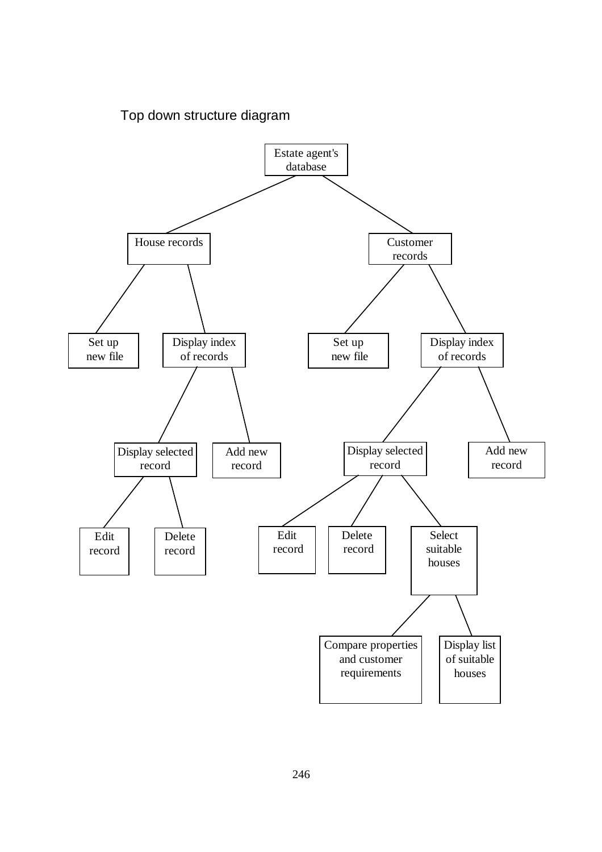

## Top down structure diagram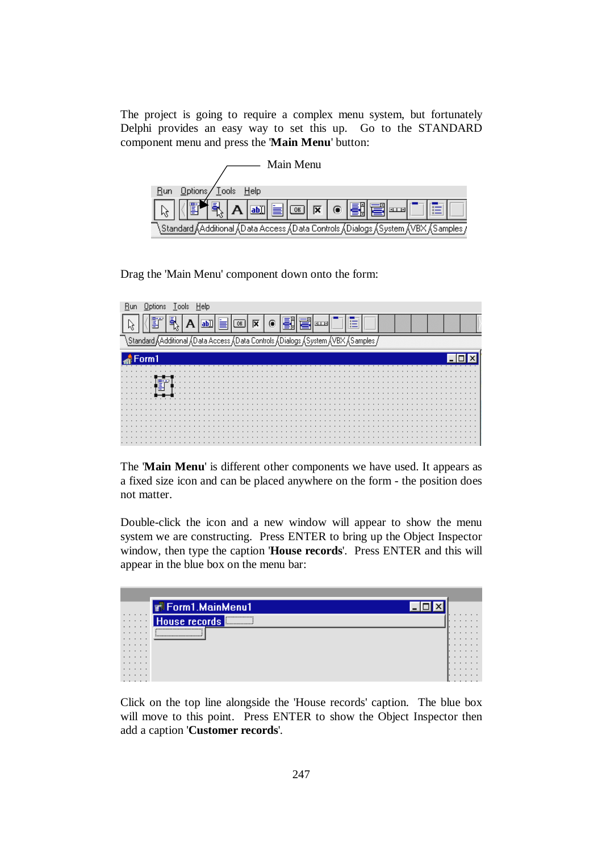The project is going to require a complex menu system, but fortunately Delphi provides an easy way to set this up. Go to the STANDARD component menu and press the '**Main Menu**' button:



Drag the 'Main Menu' component down onto the form:

| 팉<br>冈<br>1111<br>$\frac{1}{2}$ |
|---------------------------------|
| Samples                         |
| Form1                           |
| .                               |
|                                 |
| .<br>$\cdots$<br>.              |
| .<br>$\cdots$<br>$\cdots$       |
|                                 |
|                                 |
|                                 |
| .<br>.                          |
| .                               |
|                                 |
| .                               |
|                                 |
| .                               |
|                                 |

The '**Main Menu**' is different other components we have used. It appears as a fixed size icon and can be placed anywhere on the form - the position does not matter.

Double-click the icon and a new window will appear to show the menu system we are constructing. Press ENTER to bring up the Object Inspector window, then type the caption '**House records**'. Press ENTER and this will appear in the blue box on the menu bar:

|        | <b>T</b> Form1.MainMenu1                               |                             |   |  |
|--------|--------------------------------------------------------|-----------------------------|---|--|
| .<br>. | ,,,,,,,,,,,,,,,,,,,,,<br>House records <b>Election</b> | $\cdot$ $\cdot$<br>$\cdots$ |   |  |
| .<br>. | ,,,,,,,,,,,,,,,,,,,,,,,,,,,,,,,,,,,                    | $\cdots$<br>.               |   |  |
| .<br>. |                                                        | .                           |   |  |
| .<br>. |                                                        | .                           |   |  |
| .<br>. |                                                        | .                           |   |  |
| .<br>. |                                                        | .                           | . |  |

Click on the top line alongside the 'House records' caption. The blue box will move to this point. Press ENTER to show the Object Inspector then add a caption '**Customer records**'.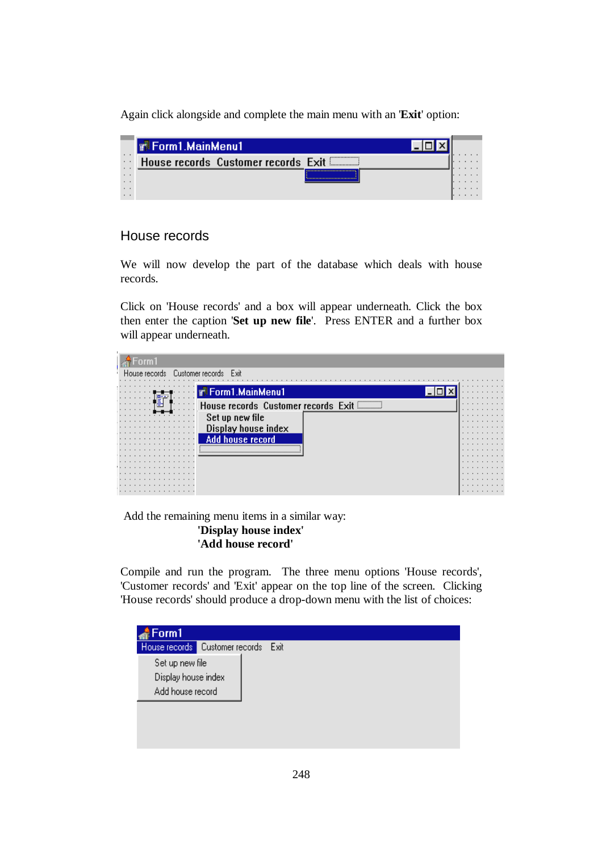Again click alongside and complete the main menu with an '**Exit**' option:

|                             | <b>T. Form1.MainMenu1</b>                 |  |  |
|-----------------------------|-------------------------------------------|--|--|
| $\cdot$ $\cdot$             | <br>House records Customer records Exit   |  |  |
| $\cdot$ $\cdot$<br>$\cdots$ | ------------------------------------<br>\ |  |  |
| $\cdots$                    |                                           |  |  |

# House records

We will now develop the part of the database which deals with house records.

Click on 'House records' and a box will appear underneath. Click the box then enter the caption '**Set up new file**'. Press ENTER and a further box will appear underneath.



 Add the remaining menu items in a similar way: **'Display house index' 'Add house record'** 

Compile and run the program. The three menu options 'House records', 'Customer records' and 'Exit' appear on the top line of the screen. Clicking 'House records' should produce a drop-down menu with the list of choices:

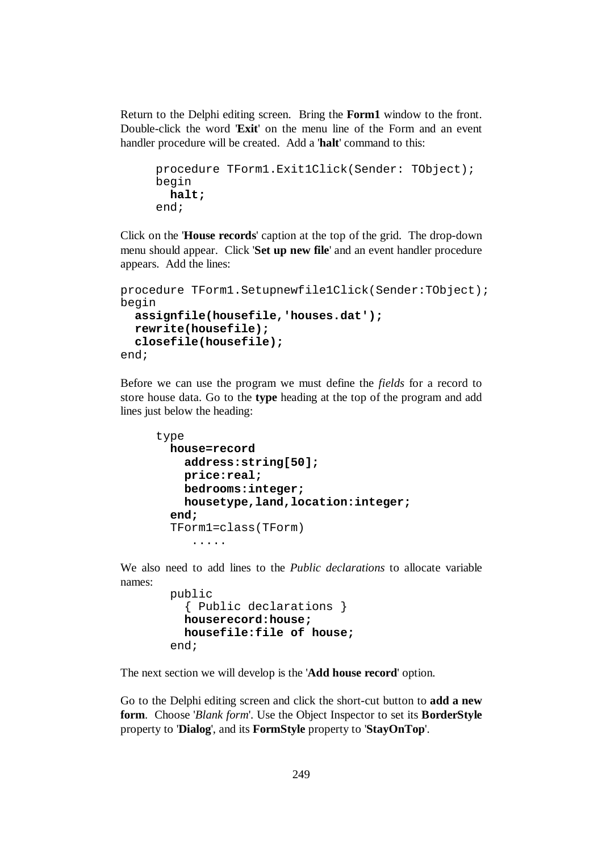Return to the Delphi editing screen. Bring the **Form1** window to the front. Double-click the word '**Exit**' on the menu line of the Form and an event handler procedure will be created. Add a '**halt**' command to this:

```
procedure TForm1.Exit1Click(Sender: TObject); 
begin 
   halt; 
end;
```
Click on the '**House records**' caption at the top of the grid. The drop-down menu should appear. Click '**Set up new file**' and an event handler procedure appears. Add the lines:

```
procedure TForm1.Setupnewfile1Click(Sender:TObject); 
begin 
   assignfile(housefile,'houses.dat'); 
   rewrite(housefile); 
   closefile(housefile); 
end;
```
Before we can use the program we must define the *fields* for a record to store house data. Go to the **type** heading at the top of the program and add lines just below the heading:

```
type 
   house=record 
     address:string[50]; 
     price:real; 
     bedrooms:integer; 
     housetype,land,location:integer; 
   end; 
   TForm1=class(TForm) 
       .....
```
We also need to add lines to the *Public declarations* to allocate variable names:

```
 public 
   { Public declarations } 
   houserecord:house; 
   housefile:file of house; 
 end;
```
The next section we will develop is the '**Add house record**' option.

Go to the Delphi editing screen and click the short-cut button to **add a new form**. Choose '*Blank form*'. Use the Object Inspector to set its **BorderStyle** property to '**Dialog**', and its **FormStyle** property to '**StayOnTop**'.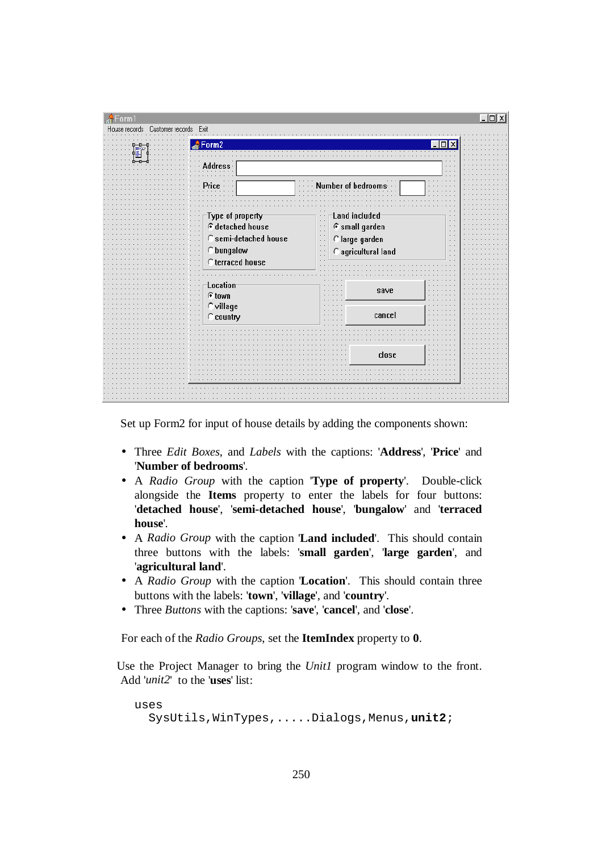| A<br>Form1<br>House records  Customer records  Exit | $  \_   \square   \times$                                                                                                                                                                            |
|-----------------------------------------------------|------------------------------------------------------------------------------------------------------------------------------------------------------------------------------------------------------|
| $\frac{1}{40}$ Form 2                               |                                                                                                                                                                                                      |
| Address                                             | $\sim$                                                                                                                                                                                               |
|                                                     | Number of bedrooms                                                                                                                                                                                   |
| Type of property <sup>.</sup><br>$G$ detached house | Land included<br>$\sim$ $\sim$<br>$\sim$<br>G small garden<br>$\sim$ $\sim$<br>$\sim$<br>$\sim$ $\sim$<br>$\sim$                                                                                     |
| C semi-detached house<br>C bungalow                 | $\sim$ $\sim$<br>$\sim$ $\sim$<br>C large garden<br>$\sim$ $\sim$<br>$\sim$ $\sim$<br>$\cdot$ .<br>$\sim$ $\sim$<br>C agricultural land<br>$\sim$<br>$\sim$ $\sim$<br>$\sim$ $\sim$<br>$\sim$ $\sim$ |
| C terraced house                                    | ×.                                                                                                                                                                                                   |
| Location<br>© town                                  | save                                                                                                                                                                                                 |
| $\subset$ village<br>C country                      | cancel                                                                                                                                                                                               |
|                                                     | close                                                                                                                                                                                                |
|                                                     |                                                                                                                                                                                                      |
|                                                     |                                                                                                                                                                                                      |

Set up Form2 for input of house details by adding the components shown:

- Three *Edit Boxes*, and *Labels* with the captions: '**Address**', '**Price**' and '**Number of bedrooms**'.
- A *Radio Group* with the caption '**Type of property**'. Double-click alongside the **Items** property to enter the labels for four buttons: '**detached house**', '**semi-detached house**', '**bungalow**' and '**terraced house**'.
- A *Radio Group* with the caption '**Land included**'. This should contain three buttons with the labels: '**small garden**', '**large garden**', and '**agricultural land**'.
- A *Radio Group* with the caption '**Location**'. This should contain three buttons with the labels: '**town**', '**village**', and '**country**'.
- Three *Buttons* with the captions: '**save**', '**cancel**', and '**close**'.

For each of the *Radio Groups*, set the **ItemIndex** property to **0**.

Use the Project Manager to bring the *Unit1* program window to the front. Add '*unit2*' to the '**uses**' list:

```
uses 
   SysUtils,WinTypes,.....Dialogs,Menus,unit2;
```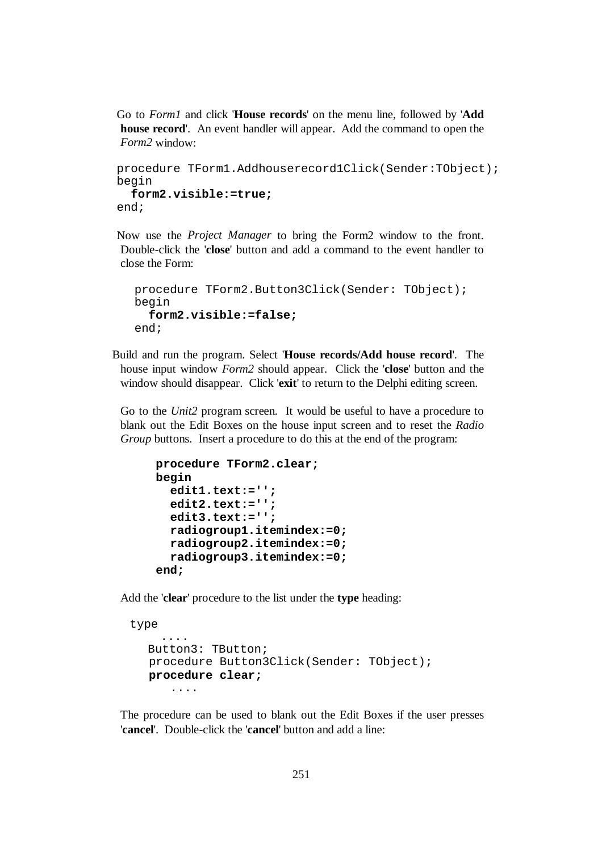Go to *Form1* and click '**House records**' on the menu line, followed by '**Add house record**'. An event handler will appear. Add the command to open the *Form2* window:

```
procedure TForm1.Addhouserecord1Click(Sender:TObject); 
begin 
   form2.visible:=true; 
end;
```
Now use the *Project Manager* to bring the Form2 window to the front. Double-click the '**close**' button and add a command to the event handler to close the Form:

```
procedure TForm2.Button3Click(Sender: TObject); 
begin 
   form2.visible:=false; 
end;
```
Build and run the program. Select '**House records/Add house record**'. The house input window *Form2* should appear. Click the '**close**' button and the window should disappear. Click '**exit**' to return to the Delphi editing screen.

Go to the *Unit2* program screen. It would be useful to have a procedure to blank out the Edit Boxes on the house input screen and to reset the *Radio Group* buttons. Insert a procedure to do this at the end of the program:

```
procedure TForm2.clear; 
begin 
   edit1.text:=''; 
   edit2.text:=''; 
   edit3.text:=''; 
   radiogroup1.itemindex:=0; 
   radiogroup2.itemindex:=0; 
   radiogroup3.itemindex:=0; 
end;
```
Add the '**clear**' procedure to the list under the **type** heading:

```
 type 
      .... 
   Button3: TButton; 
   procedure Button3Click(Sender: TObject); 
   procedure clear; 
       ....
```
The procedure can be used to blank out the Edit Boxes if the user presses '**cancel**'. Double-click the '**cancel**' button and add a line: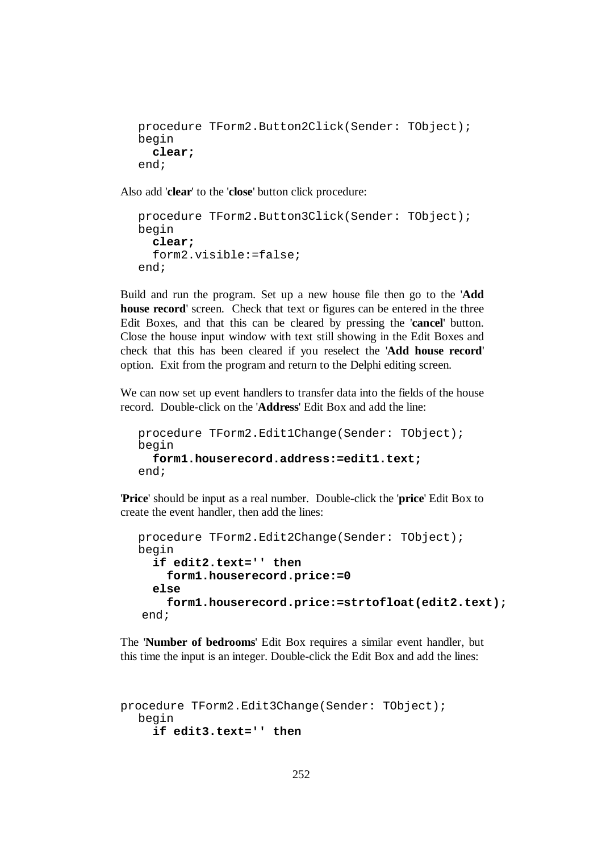```
procedure TForm2.Button2Click(Sender: TObject); 
begin 
   clear; 
end;
```
Also add '**clear**' to the '**close**' button click procedure:

```
procedure TForm2.Button3Click(Sender: TObject); 
begin 
   clear; 
   form2.visible:=false; 
end;
```
Build and run the program. Set up a new house file then go to the '**Add house record**' screen. Check that text or figures can be entered in the three Edit Boxes, and that this can be cleared by pressing the '**cancel**' button. Close the house input window with text still showing in the Edit Boxes and check that this has been cleared if you reselect the '**Add house record**' option. Exit from the program and return to the Delphi editing screen.

We can now set up event handlers to transfer data into the fields of the house record. Double-click on the '**Address**' Edit Box and add the line:

```
procedure TForm2.Edit1Change(Sender: TObject); 
begin 
   form1.houserecord.address:=edit1.text;
end;
```
'**Price**' should be input as a real number. Double-click the '**price**' Edit Box to create the event handler, then add the lines:

```
procedure TForm2.Edit2Change(Sender: TObject); 
begin 
   if edit2.text='' then 
     form1.houserecord.price:=0 
   else 
     form1.houserecord.price:=strtofloat(edit2.text); 
 end;
```
The '**Number of bedrooms**' Edit Box requires a similar event handler, but this time the input is an integer. Double-click the Edit Box and add the lines:

```
procedure TForm2.Edit3Change(Sender: TObject); 
  begin 
      if edit3.text='' then
```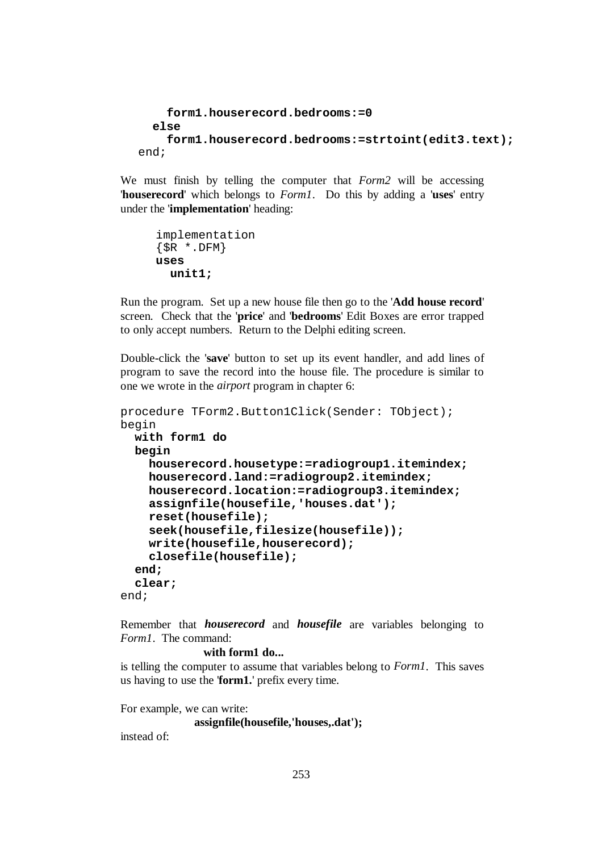```
 form1.houserecord.bedrooms:=0 
   else 
     form1.houserecord.bedrooms:=strtoint(edit3.text); 
end;
```
We must finish by telling the computer that *Form2* will be accessing '**houserecord**' which belongs to *Form1*. Do this by adding a '**uses**' entry under the '**implementation**' heading:

```
implementation 
\{SR * .DFM\}uses 
   unit1;
```
Run the program. Set up a new house file then go to the '**Add house record**' screen. Check that the '**price**' and '**bedrooms**' Edit Boxes are error trapped to only accept numbers. Return to the Delphi editing screen.

Double-click the '**save**' button to set up its event handler, and add lines of program to save the record into the house file. The procedure is similar to one we wrote in the *airport* program in chapter 6:

```
procedure TForm2.Button1Click(Sender: TObject); 
begin 
   with form1 do 
   begin 
     houserecord.housetype:=radiogroup1.itemindex; 
     houserecord.land:=radiogroup2.itemindex; 
     houserecord.location:=radiogroup3.itemindex; 
     assignfile(housefile,'houses.dat'); 
     reset(housefile); 
     seek(housefile,filesize(housefile)); 
     write(housefile,houserecord); 
     closefile(housefile); 
   end; 
   clear; 
end;
```
Remember that *houserecord* and *housefile* are variables belonging to *Form1*. The command:

```
 with form1 do...
```
is telling the computer to assume that variables belong to *Form1*. This saves us having to use the '**form1.**' prefix every time.

For example, we can write:  **assignfile(housefile,'houses,.dat');**  instead of: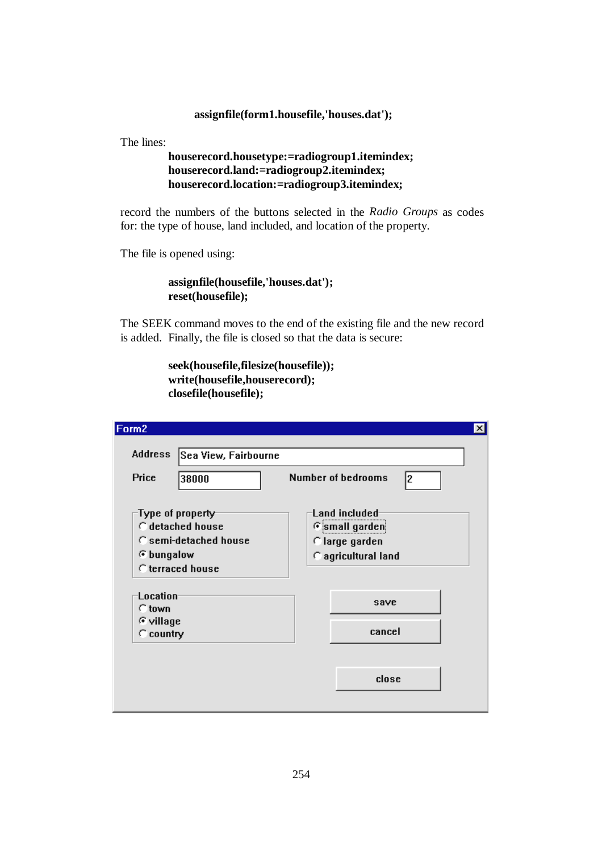#### **assignfile(form1.housefile,'houses.dat');**

The lines:

## **houserecord.housetype:=radiogroup1.itemindex; houserecord.land:=radiogroup2.itemindex; houserecord.location:=radiogroup3.itemindex;**

record the numbers of the buttons selected in the *Radio Groups* as codes for: the type of house, land included, and location of the property.

The file is opened using:

 **assignfile(housefile,'houses.dat'); reset(housefile);** 

The SEEK command moves to the end of the existing file and the new record is added. Finally, the file is closed so that the data is secure:

```
 seek(housefile,filesize(housefile)); 
 write(housefile,houserecord); 
 closefile(housefile);
```

| Form <sub>2</sub>                                                                                                    | $\vert x \vert$                                                        |
|----------------------------------------------------------------------------------------------------------------------|------------------------------------------------------------------------|
| <b>Address</b><br>Sea View, Fairbourne                                                                               |                                                                        |
| Price<br>38000                                                                                                       | <b>Number of bedrooms</b><br>2                                         |
| Type of property <sup>.</sup><br>$\subset$ detached house<br>C semi-detached house<br>⊙ bungalow<br>C terraced house | Land included<br>Gsmall garden<br>Clarge garden<br>C agricultural land |
| Location<br>$\cap$ town<br>C village<br>$\subset$ country                                                            | save<br>cancel                                                         |
|                                                                                                                      | close                                                                  |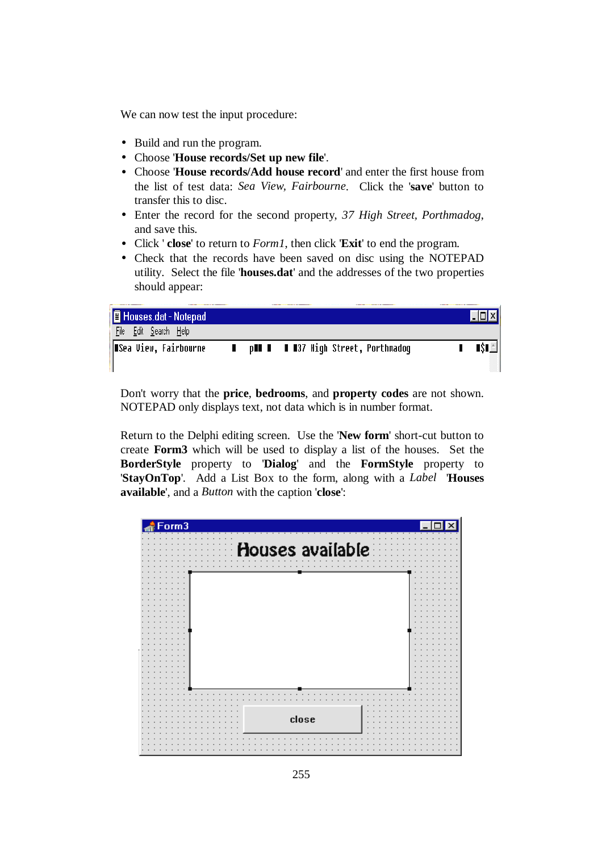We can now test the input procedure:

- Build and run the program.
- Choose '**House records/Set up new file**'.
- Choose '**House records/Add house record**' and enter the first house from the list of test data: *Sea View, Fairbourne*. Click the '**save**' button to transfer this to disc.
- Enter the record for the second property, *37 High Street, Porthmadog*, and save this.
- Click ' **close**' to return to *Form1*, then click '**Exit**' to end the program.
- Check that the records have been saved on disc using the NOTEPAD utility. Select the file '**houses.dat**' and the addresses of the two properties should appear:

| Houses.dat - Notepad     |                                            |         |
|--------------------------|--------------------------------------------|---------|
| File<br>Edit Search Help |                                            |         |
| ∥∎Sea View, Fairbourne   | p <b>HI I</b> II37 High Street, Porthmadog | TST ALL |
|                          |                                            |         |

Don't worry that the **price**, **bedrooms**, and **property codes** are not shown. NOTEPAD only displays text, not data which is in number format.

Return to the Delphi editing screen. Use the '**New form**' short-cut button to create **Form3** which will be used to display a list of the houses. Set the **BorderStyle** property to '**Dialog**' and the **FormStyle** property to '**StayOnTop**'. Add a List Box to the form, along with a *Label* '**Houses available**', and a *Button* with the caption '**close**':

| $\overline{\overline{\mathsf{form3}}}$ |  |
|----------------------------------------|--|
| Houses available                       |  |
|                                        |  |
|                                        |  |
|                                        |  |
|                                        |  |
|                                        |  |
|                                        |  |
|                                        |  |
|                                        |  |
| close                                  |  |
|                                        |  |
|                                        |  |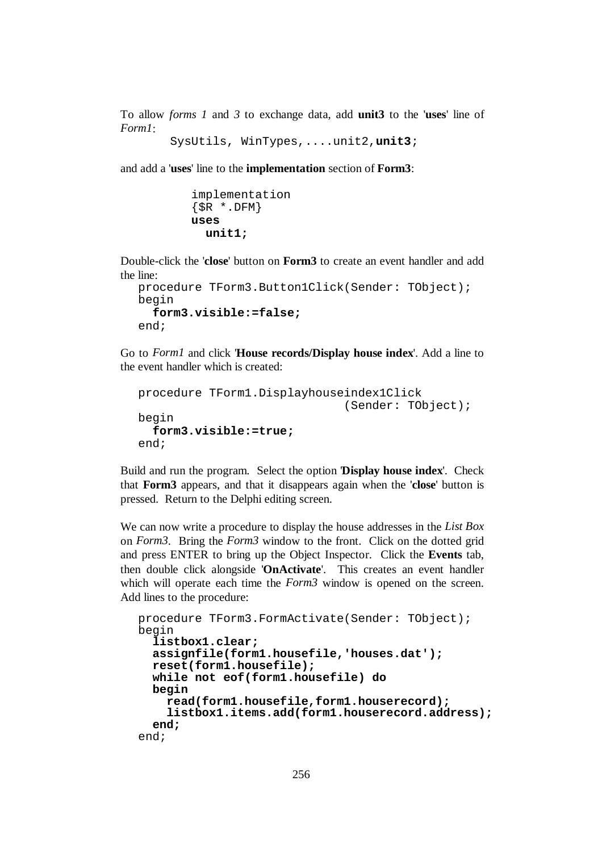To allow *forms 1* and *3* to exchange data, add **unit3** to the '**uses**' line of *Form1*:

```
 SysUtils, WinTypes,....unit2,unit3;
```
and add a '**uses**' line to the **implementation** section of **Form3**:

```
implementation 
\{SR * .DFM\}uses 
   unit1;
```
Double-click the '**close**' button on **Form3** to create an event handler and add the line:

```
procedure TForm3.Button1Click(Sender: TObject); 
begin 
   form3.visible:=false; 
end;
```
Go to *Form1* and click '**House records/Display house index**'. Add a line to the event handler which is created:

```
procedure TForm1.Displayhouseindex1Click 
                                 (Sender: TObject); 
begin 
   form3.visible:=true; 
end;
```
Build and run the program. Select the option '**Display house index**'. Check that **Form3** appears, and that it disappears again when the '**close**' button is pressed. Return to the Delphi editing screen.

We can now write a procedure to display the house addresses in the *List Box*  on *Form3*. Bring the *Form3* window to the front. Click on the dotted grid and press ENTER to bring up the Object Inspector. Click the **Events** tab, then double click alongside '**OnActivate**'. This creates an event handler which will operate each time the *Form3* window is opened on the screen. Add lines to the procedure:

```
procedure TForm3.FormActivate(Sender: TObject); 
begin 
   listbox1.clear; 
   assignfile(form1.housefile,'houses.dat'); 
   reset(form1.housefile); 
   while not eof(form1.housefile) do 
   begin 
     read(form1.housefile,form1.houserecord); 
     listbox1.items.add(form1.houserecord.address); 
   end; 
end;
```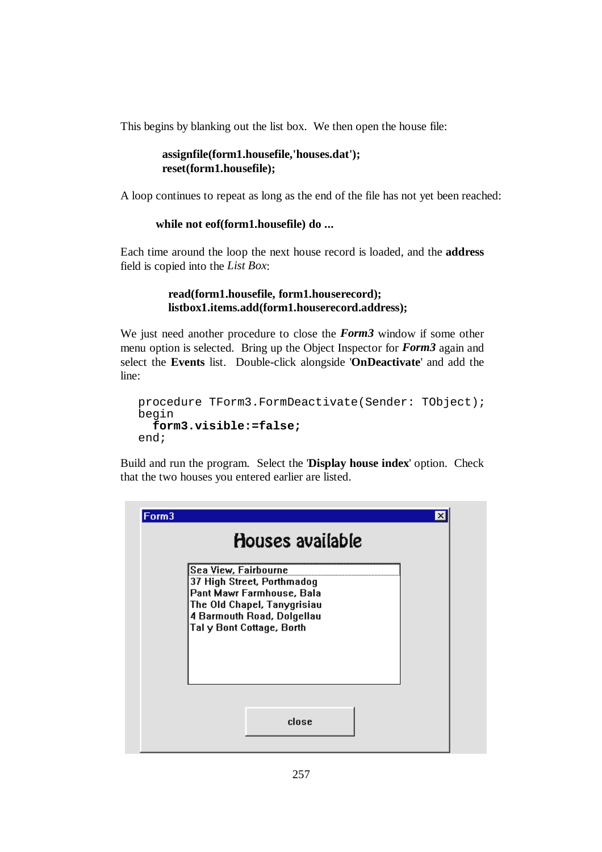This begins by blanking out the list box. We then open the house file:

```
 assignfile(form1.housefile,'houses.dat'); 
 reset(form1.housefile);
```
A loop continues to repeat as long as the end of the file has not yet been reached:

#### **while not eof(form1.housefile) do ...**

Each time around the loop the next house record is loaded, and the **address** field is copied into the *List Box*:

#### **read(form1.housefile, form1.houserecord); listbox1.items.add(form1.houserecord.address);**

We just need another procedure to close the *Form3* window if some other menu option is selected. Bring up the Object Inspector for *Form3* again and select the **Events** list. Double-click alongside '**OnDeactivate**' and add the line:

```
procedure TForm3.FormDeactivate(Sender: TObject); 
begin 
   form3.visible:=false; 
end;
```
Build and run the program. Select the '**Display house index**' option. Check that the two houses you entered earlier are listed.

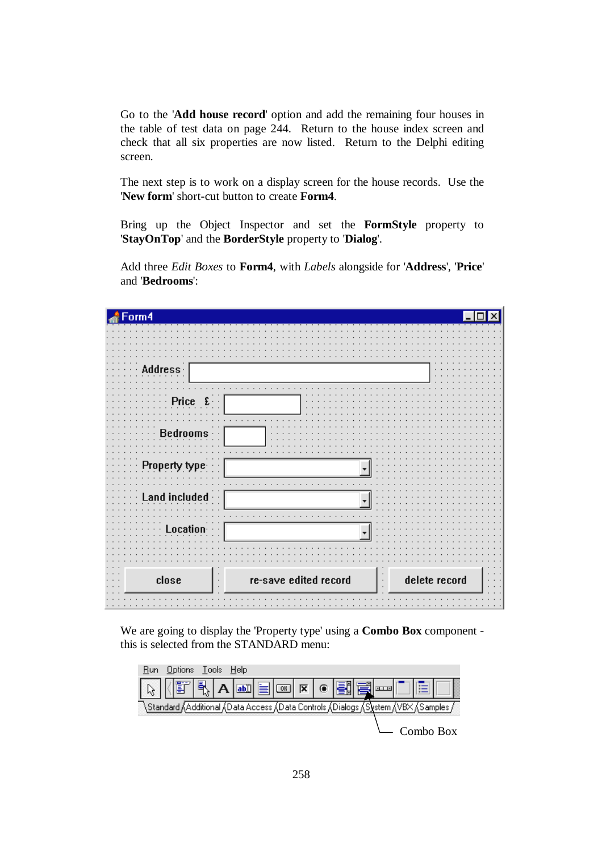Go to the '**Add house record**' option and add the remaining four houses in the table of test data on page 244. Return to the house index screen and check that all six properties are now listed. Return to the Delphi editing screen.

The next step is to work on a display screen for the house records. Use the '**New form**' short-cut button to create **Form4**.

Bring up the Object Inspector and set the **FormStyle** property to '**StayOnTop**' and the **BorderStyle** property to '**Dialog**'.

Add three *Edit Boxes* to **Form4**, with *Labels* alongside for '**Address**', '**Price**' and '**Bedrooms**':

| Form4 |                       |               |
|-------|-----------------------|---------------|
|       |                       |               |
|       |                       |               |
|       |                       |               |
|       |                       |               |
|       |                       |               |
| type. |                       |               |
|       |                       |               |
|       |                       |               |
|       |                       |               |
| close | re-save edited record | delete record |

We are going to display the 'Property type' using a **Combo Box** component this is selected from the STANDARD menu:

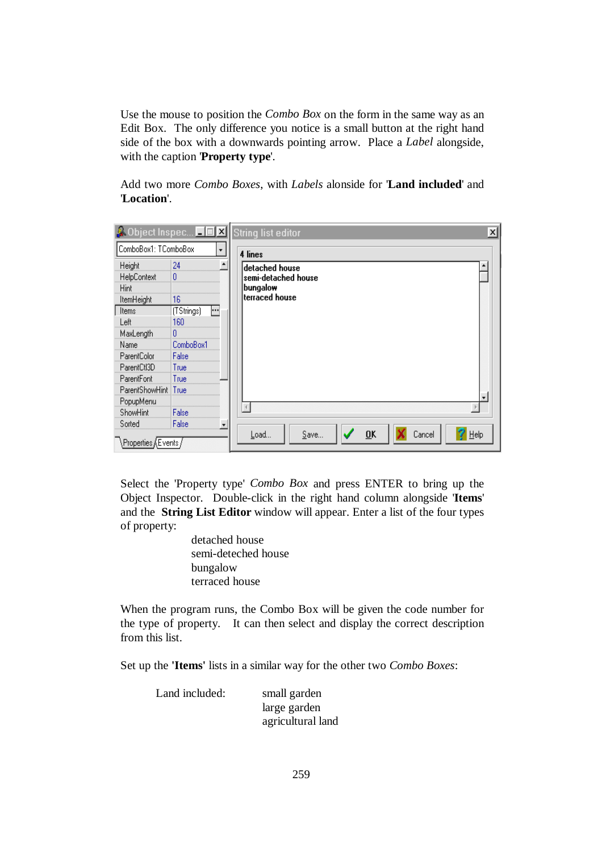Use the mouse to position the *Combo Box* on the form in the same way as an Edit Box. The only difference you notice is a small button at the right hand side of the box with a downwards pointing arrow. Place a *Label* alongside, with the caption '**Property type**'.

Add two more *Combo Boxes*, with *Labels* alonside for '**Land included**' and '**Location**'.

| <b>A</b> Object Inspec <b>TE X</b> String list editor |                   |                          |                                                                       |         |                  |        | $\times$ |
|-------------------------------------------------------|-------------------|--------------------------|-----------------------------------------------------------------------|---------|------------------|--------|----------|
| ComboBox1: TComboBox                                  |                   | $\overline{\phantom{a}}$ | 4 lines                                                               |         |                  |        |          |
| Height<br>HelpContext<br>Hint<br>ItemHeight           | 24<br>16          |                          | ldetached house<br> semi-detached house<br>bungalow<br>terraced house |         |                  |        |          |
| Items<br>Left                                         | (TStrings)<br>160 | $\left  \cdots \right $  |                                                                       |         |                  |        |          |
| MaxLength<br>Name                                     | 0<br>ComboBox1    |                          |                                                                       |         |                  |        |          |
| ParentColor<br>ParentCtl3D                            | False<br>True     |                          |                                                                       |         |                  |        |          |
| ParentFont                                            | True              |                          |                                                                       |         |                  |        |          |
| ParentShowHint<br>PopupMenu                           | True              |                          |                                                                       |         |                  |        |          |
| ShowHint<br>Sorted                                    | False<br>False    |                          |                                                                       |         |                  |        |          |
| , Properties ≬Events,                                 |                   |                          | Load                                                                  | $S$ ave | $\overline{0}$ K | Cancel | He       |

Select the 'Property type' *Combo Box* and press ENTER to bring up the Object Inspector. Double-click in the right hand column alongside '**Items**' and the **String List Editor** window will appear. Enter a list of the four types of property:

> detached house semi-deteched house bungalow terraced house

When the program runs, the Combo Box will be given the code number for the type of property. It can then select and display the correct description from this list.

Set up the **'Items'** lists in a similar way for the other two *Combo Boxes*:

Land included: small garden large garden agricultural land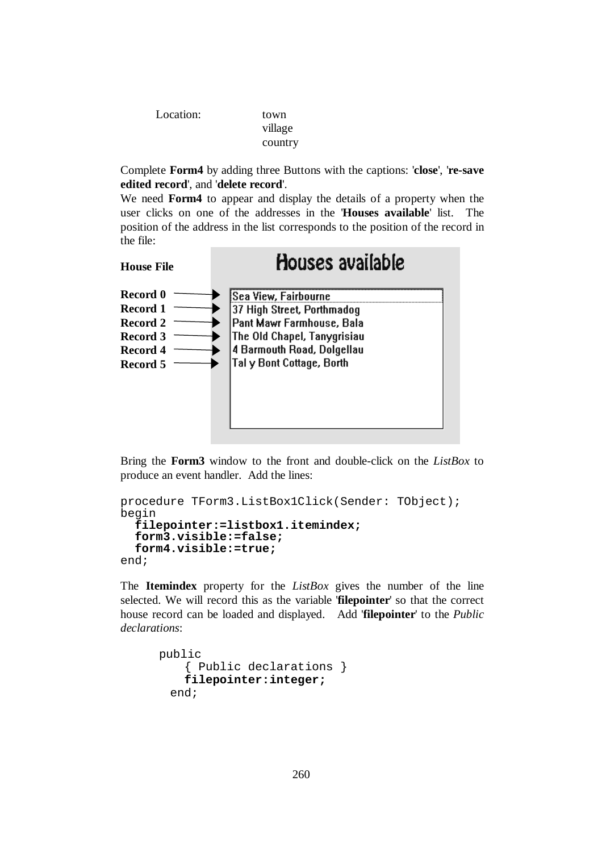| Location: |  |
|-----------|--|
|-----------|--|

town village country

Complete **Form4** by adding three Buttons with the captions: '**close**', '**re-save edited record**', and '**delete record**'.

We need **Form4** to appear and display the details of a property when the user clicks on one of the addresses in the '**Houses available**' list. The position of the address in the list corresponds to the position of the record in the file:



Bring the **Form3** window to the front and double-click on the *ListBox* to produce an event handler. Add the lines:

```
procedure TForm3.ListBox1Click(Sender: TObject); 
begin 
   filepointer:=listbox1.itemindex; 
   form3.visible:=false; 
   form4.visible:=true; 
end;
```
The **Itemindex** property for the *ListBox* gives the number of the line selected. We will record this as the variable '**filepointer**' so that the correct house record can be loaded and displayed. Add '**filepointer**' to the *Public declarations*:

```
public 
     { Public declarations } 
     filepointer:integer; 
  end;
```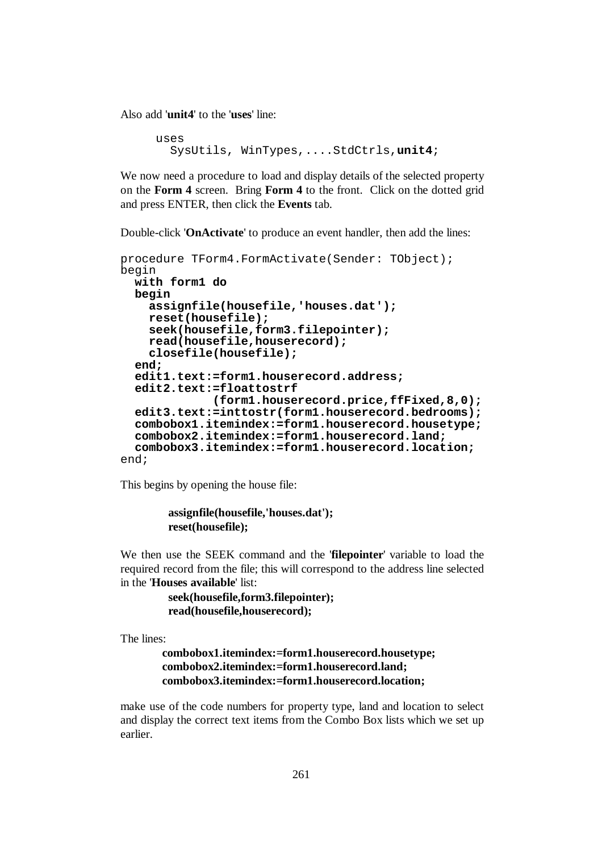Also add '**unit4**' to the '**uses**' line:

```
uses 
   SysUtils, WinTypes,....StdCtrls,unit4;
```
We now need a procedure to load and display details of the selected property on the **Form 4** screen. Bring **Form 4** to the front. Click on the dotted grid and press ENTER, then click the **Events** tab.

Double-click '**OnActivate**' to produce an event handler, then add the lines:

```
procedure TForm4.FormActivate(Sender: TObject); 
begin 
   with form1 do 
   begin 
     assignfile(housefile,'houses.dat'); 
     reset(housefile); 
     seek(housefile,form3.filepointer); 
     read(housefile,houserecord); 
     closefile(housefile); 
   end; 
   edit1.text:=form1.houserecord.address; 
   edit2.text:=floattostrf 
               (form1.houserecord.price,ffFixed,8,0);
   edit3.text:=inttostr(form1.houserecord.bedrooms);
   combobox1.itemindex:=form1.houserecord.housetype;
   combobox2.itemindex:=form1.houserecord.land; 
   combobox3.itemindex:=form1.houserecord.location; 
end;
```
This begins by opening the house file:

```
 assignfile(housefile,'houses.dat'); 
 reset(housefile);
```
We then use the SEEK command and the '**filepointer**' variable to load the required record from the file; this will correspond to the address line selected in the '**Houses available**' list:

```
 seek(housefile,form3.filepointer); 
 read(housefile,houserecord);
```
The lines:

```
 combobox1.itemindex:=form1.houserecord.housetype;
 combobox2.itemindex:=form1.houserecord.land; 
 combobox3.itemindex:=form1.houserecord.location;
```
make use of the code numbers for property type, land and location to select and display the correct text items from the Combo Box lists which we set up earlier.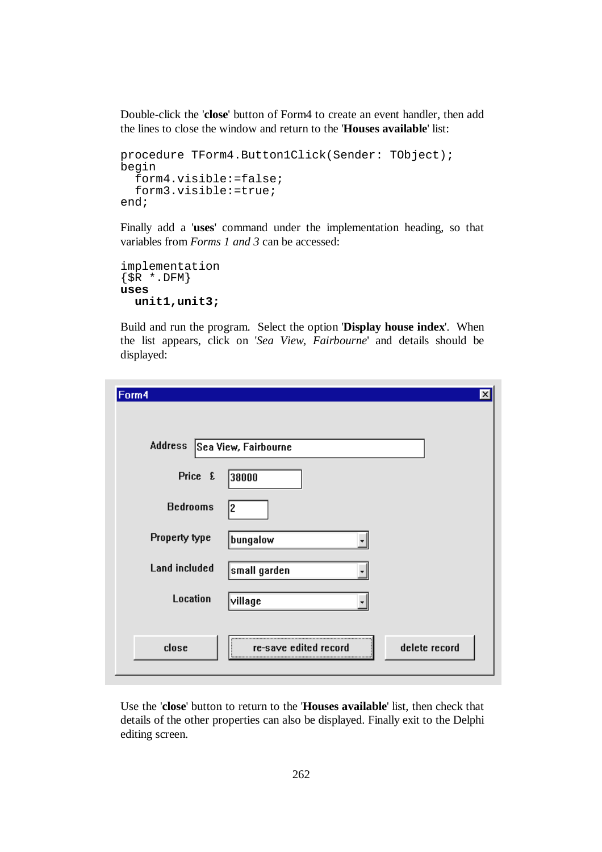Double-click the '**close**' button of Form4 to create an event handler, then add the lines to close the window and return to the '**Houses available**' list:

```
procedure TForm4.Button1Click(Sender: TObject); 
begin 
   form4.visible:=false; 
   form3.visible:=true; 
end;
```
Finally add a '**uses**' command under the implementation heading, so that variables from *Forms 1 and 3* can be accessed:

```
implementation 
{S<sub>R</sub> * . DFM}uses 
   unit1,unit3;
```
Build and run the program. Select the option '**Display house index**'. When the list appears, click on '*Sea View, Fairbourne*' and details should be displayed:

| Form4                        |                       | х             |
|------------------------------|-----------------------|---------------|
| Address Sea View, Fairbourne |                       |               |
| Price £                      | 38000                 |               |
| <b>Bedrooms</b>              | 12                    |               |
| Property type                | bungalow              |               |
| <b>Land included</b>         | small garden          |               |
| <b>Location</b>              | village               |               |
|                              |                       |               |
| close                        | re-save edited record | delete record |

Use the '**close**' button to return to the '**Houses available**' list, then check that details of the other properties can also be displayed. Finally exit to the Delphi editing screen.